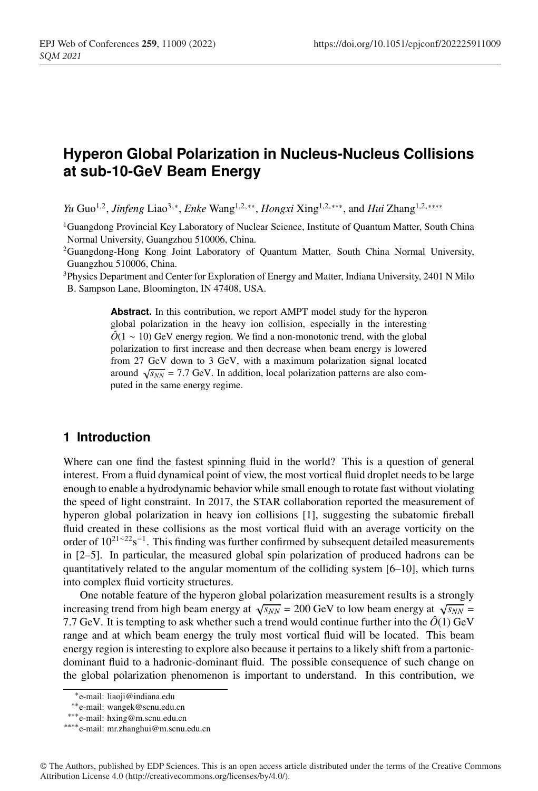# **Hyperon Global Polarization in Nucleus-Nucleus Collisions at sub-10-GeV Beam Energy**

*Yu* Guo<sup>1,2</sup>, *Jinfeng* Liao<sup>3,∗</sup>, *Enke* Wang<sup>1,2,∗∗</sup>, *Hongxi* Xing<sup>1,2,∗∗∗, and *Hui* Zhang<sup>1,2,∗∗∗∗</sup></sup>

1Guangdong Provincial Key Laboratory of Nuclear Science, Institute of Quantum Matter, South China Normal University, Guangzhou 510006, China.

2Guangdong-Hong Kong Joint Laboratory of Quantum Matter, South China Normal University, Guangzhou 510006, China.

3Physics Department and Center for Exploration of Energy and Matter, Indiana University, 2401 N Milo B. Sampson Lane, Bloomington, IN 47408, USA.

> **Abstract.** In this contribution, we report AMPT model study for the hyperon global polarization in the heavy ion collision, especially in the interesting  $\hat{O}(1 \sim 10)$  GeV energy region. We find a non-monotonic trend, with the global polarization to first increase and then decrease when beam energy is lowered from 27 GeV down to 3 GeV, with a maximum polarization signal located around  $\sqrt{s_{NN}}$  = 7.7 GeV. In addition, local polarization patterns are also computed in the same energy regime.

### **1 Introduction**

Where can one find the fastest spinning fluid in the world? This is a question of general interest. From a fluid dynamical point of view, the most vortical fluid droplet needs to be large enough to enable a hydrodynamic behavior while small enough to rotate fast without violating the speed of light constraint. In 2017, the STAR collaboration reported the measurement of hyperon global polarization in heavy ion collisions [1], suggesting the subatomic fireball fluid created in these collisions as the most vortical fluid with an average vorticity on the order of 10<sup>21∼22</sup>s<sup>-1</sup>. This finding was further confirmed by subsequent detailed measurements in [2–5]. In particular, the measured global spin polarization of produced hadrons can be quantitatively related to the angular momentum of the colliding system  $[6–10]$ , which turns into complex fluid vorticity structures.

One notable feature of the hyperon global polarization measurement results is a strongly increasing trend from high beam energy at  $\sqrt{s_{NN}}$  = 200 GeV to low beam energy at  $\sqrt{s_{NN}}$  = 7.7 GeV. It is tempting to ask whether such a trend would continue further into the  $\hat{O}(1)$  GeV range and at which beam energy the truly most vortical fluid will be located. This beam energy region is interesting to explore also because it pertains to a likely shift from a partonicdominant fluid to a hadronic-dominant fluid. The possible consequence of such change on the global polarization phenomenon is important to understand. In this contribution, we

<sup>∗</sup>e-mail: liaoji@indiana.edu

<sup>∗∗</sup>e-mail: wangek@scnu.edu.cn

<sup>∗∗∗</sup>e-mail: hxing@m.scnu.edu.cn

<sup>∗∗∗∗</sup>e-mail: mr.zhanghui@m.scnu.edu.cn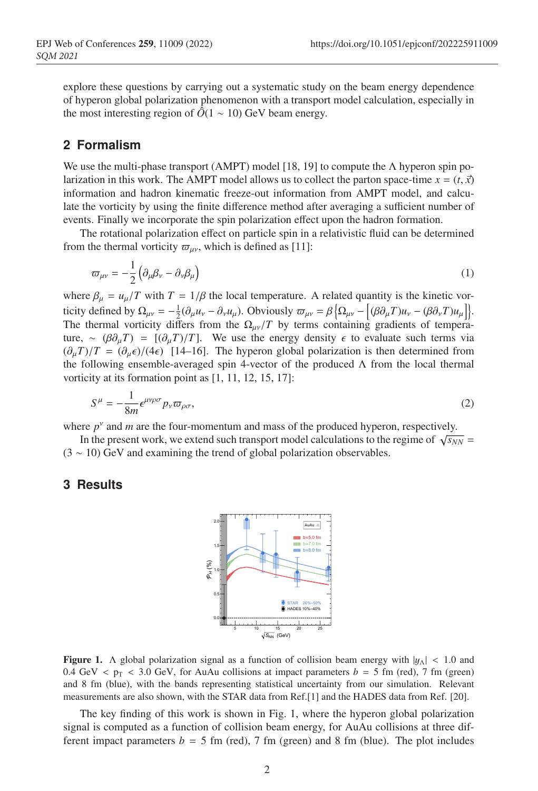explore these questions by carrying out a systematic study on the beam energy dependence of hyperon global polarization phenomenon with a transport model calculation, especially in the most interesting region of  $\hat{O}(1 \sim 10)$  GeV beam energy.

#### **2 Formalism**

We use the multi-phase transport (AMPT) model [18, 19] to compute the  $\Lambda$  hyperon spin polarization in this work. The AMPT model allows us to collect the parton space-time  $x = (t, \vec{x})$ information and hadron kinematic freeze-out information from AMPT model, and calculate the vorticity by using the finite difference method after averaging a sufficient number of events. Finally we incorporate the spin polarization effect upon the hadron formation.

The rotational polarization effect on particle spin in a relativistic fluid can be determined from the thermal vorticity  $\varpi_{\mu\nu}$ , which is defined as [11]:

$$
\varpi_{\mu\nu} = -\frac{1}{2} \left( \partial_{\mu} \beta_{\nu} - \partial_{\nu} \beta_{\mu} \right) \tag{1}
$$

where  $\beta_{\mu} = u_{\mu}/T$  with  $T = 1/\beta$  the local temperature. A related quantity is the kinetic vorticity defined by  $\Omega_{\mu\nu} = -\frac{1}{2}(\partial_{\mu}u_{\nu} - \partial_{\nu}u_{\mu})$ . Obviously  $\varpi_{\mu\nu} = \beta \left\{ \Omega_{\mu\nu} - \left[ (\beta \partial_{\mu}T)u_{\nu} - (\beta \partial_{\nu}T)u_{\mu} \right] \right\}$ . The thermal vorticity differs from the  $\Omega_{\mu\nu}/T$  by terms containing gradients of temperature, ~  $(\beta \partial_u T) = [(\partial_u T)/T]$ . We use the energy density  $\epsilon$  to evaluate such terms via  $(\partial_{\mu}T)/T = (\partial_{\mu}\epsilon)/(4\epsilon)$  [14–16]. The hyperon global polarization is then determined from the following ensemble-averaged spin 4-vector of the produced  $\Lambda$  from the local thermal vorticity at its formation point as [1, 11, 12, 15, 17]:

$$
S^{\mu} = -\frac{1}{8m} \epsilon^{\mu\nu\rho\sigma} p_{\nu} \varpi_{\rho\sigma}, \tag{2}
$$

where  $p<sup>v</sup>$  and *m* are the four-momentum and mass of the produced hyperon, respectively.

In the present work, we extend such transport model calculations to the regime of  $\sqrt{s_{NN}}$  =  $(3 \sim 10)$  GeV and examining the trend of global polarization observables.

#### **3 Results**



**Figure 1.** A global polarization signal as a function of collision beam energy with  $|y_\Lambda| < 1.0$  and 0.4 GeV  $\lt p_T \lt 3.0$  GeV, for AuAu collisions at impact parameters  $b = 5$  fm (red), 7 fm (green) and 8 fm (blue), with the bands representing statistical uncertainty from our simulation. Relevant measurements are also shown, with the STAR data from Ref.[1] and the HADES data from Ref. [20].

The key finding of this work is shown in Fig. 1, where the hyperon global polarization signal is computed as a function of collision beam energy, for AuAu collisions at three different impact parameters  $b = 5$  fm (red), 7 fm (green) and 8 fm (blue). The plot includes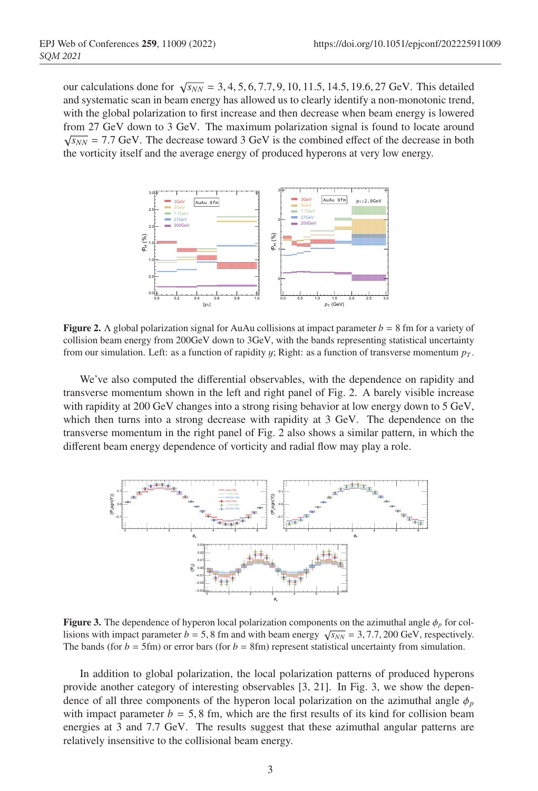our calculations done for  $\sqrt{s_{NN}}$  = 3, 4, 5, 6, 7.7, 9, 10, 11.5, 14.5, 19.6, 27 GeV. This detailed and systematic scan in beam energy has allowed us to clearly identify a non-monotonic trend, with the global polarization to first increase and then decrease when beam energy is lowered from 27 GeV down to 3 GeV. The maximum polarization signal is found to locate around  $\sqrt{s_{NN}}$  = 7.7 GeV. The decrease toward 3 GeV is the combined effect of the decrease in both the vorticity itself and the average energy of produced hyperons at very low energy.



**Figure 2.**  $\Lambda$  global polarization signal for AuAu collisions at impact parameter  $b = 8$  fm for a variety of collision beam energy from 200GeV down to 3GeV, with the bands representing statistical uncertainty from our simulation. Left: as a function of rapidity  $y$ ; Right: as a function of transverse momentum  $p_T$ .

We've also computed the differential observables, with the dependence on rapidity and transverse momentum shown in the left and right panel of Fig. 2. A barely visible increase with rapidity at 200 GeV changes into a strong rising behavior at low energy down to 5 GeV, which then turns into a strong decrease with rapidity at 3 GeV. The dependence on the transverse momentum in the right panel of Fig. 2 also shows a similar pattern, in which the different beam energy dependence of vorticity and radial flow may play a role.



**Figure 3.** The dependence of hyperon local polarization components on the azimuthal angle  $\phi_p$  for collisions with impact parameter *b* = 5, 8 fm and with beam energy  $\sqrt{s_{NN}}$  = 3, 7.7, 200 GeV, respectively. The bands (for  $b = 5$ fm) or error bars (for  $b = 8$ fm) represent statistical uncertainty from simulation.

In addition to global polarization, the local polarization patterns of produced hyperons provide another category of interesting observables [3, 21]. In Fig. 3, we show the dependence of all three components of the hyperon local polarization on the azimuthal angle  $\phi_p$ with impact parameter  $b = 5, 8$  fm, which are the first results of its kind for collision beam energies at 3 and 7.7 GeV. The results suggest that these azimuthal angular patterns are relatively insensitive to the collisional beam energy.